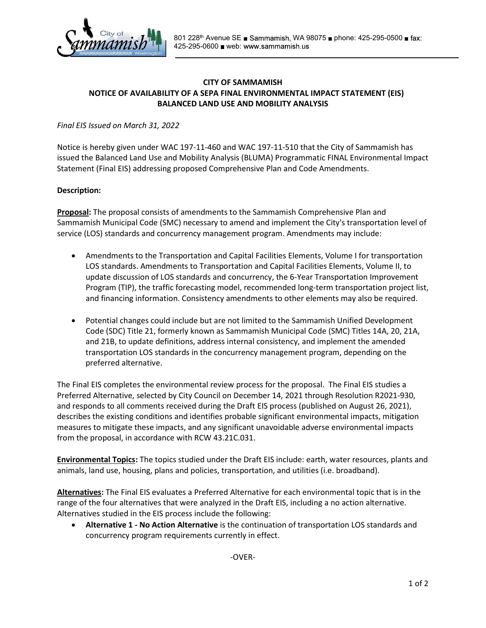

## CITY OF SAMMAMISH NOTICE OF AVAILABILITY OF A SEPA FINAL ENVIRONMENTAL IMPACT STATEMENT (EIS) BALANCED LAND USE AND MOBILITY ANALYSIS

## Final EIS Issued on March 31, 2022

Notice is hereby given under WAC 197-11-460 and WAC 197-11-510 that the City of Sammamish has issued the Balanced Land Use and Mobility Analysis (BLUMA) Programmatic FINAL Environmental Impact Statement (Final EIS) addressing proposed Comprehensive Plan and Code Amendments.

## Description:

**Proposal:** The proposal consists of amendments to the Sammamish Comprehensive Plan and Sammamish Municipal Code (SMC) necessary to amend and implement the City's transportation level of service (LOS) standards and concurrency management program. Amendments may include:

- Amendments to the Transportation and Capital Facilities Elements, Volume I for transportation LOS standards. Amendments to Transportation and Capital Facilities Elements, Volume II, to update discussion of LOS standards and concurrency, the 6-Year Transportation Improvement Program (TIP), the traffic forecasting model, recommended long-term transportation project list, and financing information. Consistency amendments to other elements may also be required.
- Potential changes could include but are not limited to the Sammamish Unified Development Code (SDC) Title 21, formerly known as Sammamish Municipal Code (SMC) Titles 14A, 20, 21A, and 21B, to update definitions, address internal consistency, and implement the amended transportation LOS standards in the concurrency management program, depending on the preferred alternative.

The Final EIS completes the environmental review process for the proposal. The Final EIS studies a Preferred Alternative, selected by City Council on December 14, 2021 through Resolution R2021-930, and responds to all comments received during the Draft EIS process (published on August 26, 2021), describes the existing conditions and identifies probable significant environmental impacts, mitigation measures to mitigate these impacts, and any significant unavoidable adverse environmental impacts from the proposal, in accordance with RCW 43.21C.031.

Environmental Topics: The topics studied under the Draft EIS include: earth, water resources, plants and animals, land use, housing, plans and policies, transportation, and utilities (i.e. broadband).

Alternatives: The Final EIS evaluates a Preferred Alternative for each environmental topic that is in the range of the four alternatives that were analyzed in the Draft EIS, including a no action alternative. Alternatives studied in the EIS process include the following:

• Alternative 1 - No Action Alternative is the continuation of transportation LOS standards and concurrency program requirements currently in effect.